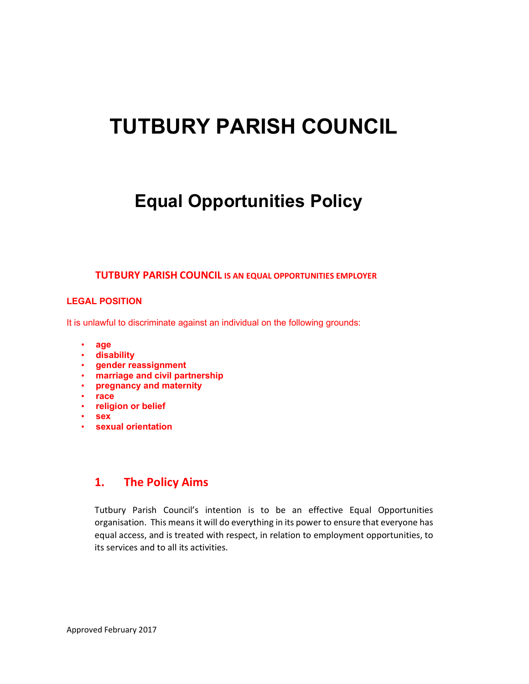# TUTBURY PARISH COUNCIL

# Equal Opportunities Policy

#### TUTBURY PARISH COUNCIL IS AN EQUAL OPPORTUNITIES EMPLOYER

#### LEGAL POSITION

It is unlawful to discriminate against an individual on the following grounds:

- age
- disability
- gender reassignment
- marriage and civil partnership
- pregnancy and maternity
- race
- religion or belief
- sex
- sexual orientation

#### 1. The Policy Aims

Tutbury Parish Council's intention is to be an effective Equal Opportunities organisation. This means it will do everything in its power to ensure that everyone has equal access, and is treated with respect, in relation to employment opportunities, to its services and to all its activities.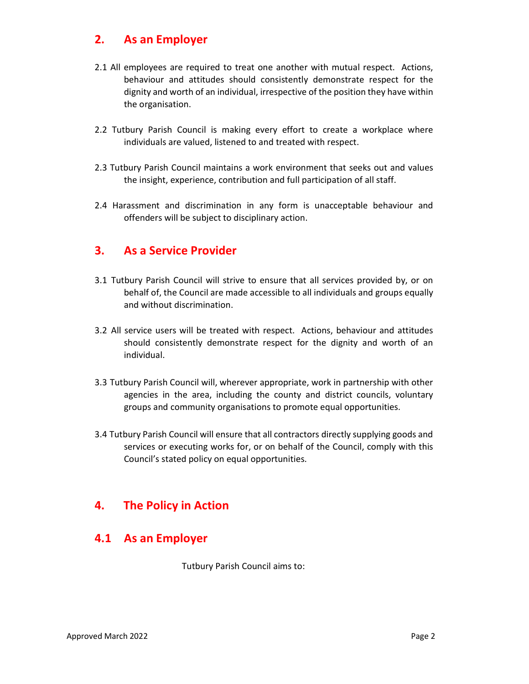#### 2. As an Employer

- 2.1 All employees are required to treat one another with mutual respect. Actions, behaviour and attitudes should consistently demonstrate respect for the dignity and worth of an individual, irrespective of the position they have within the organisation.
- 2.2 Tutbury Parish Council is making every effort to create a workplace where individuals are valued, listened to and treated with respect.
- 2.3 Tutbury Parish Council maintains a work environment that seeks out and values the insight, experience, contribution and full participation of all staff.
- 2.4 Harassment and discrimination in any form is unacceptable behaviour and offenders will be subject to disciplinary action.

#### 3. As a Service Provider

- 3.1 Tutbury Parish Council will strive to ensure that all services provided by, or on behalf of, the Council are made accessible to all individuals and groups equally and without discrimination.
- 3.2 All service users will be treated with respect. Actions, behaviour and attitudes should consistently demonstrate respect for the dignity and worth of an individual.
- 3.3 Tutbury Parish Council will, wherever appropriate, work in partnership with other agencies in the area, including the county and district councils, voluntary groups and community organisations to promote equal opportunities.
- 3.4 Tutbury Parish Council will ensure that all contractors directly supplying goods and services or executing works for, or on behalf of the Council, comply with this Council's stated policy on equal opportunities.

#### 4. The Policy in Action

#### 4.1 As an Employer

Tutbury Parish Council aims to: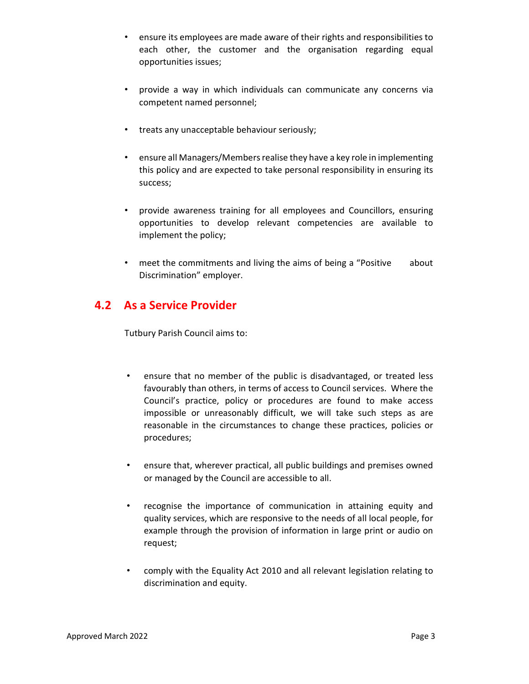- ensure its employees are made aware of their rights and responsibilities to each other, the customer and the organisation regarding equal opportunities issues;
- provide a way in which individuals can communicate any concerns via competent named personnel;
- treats any unacceptable behaviour seriously;
- ensure all Managers/Members realise they have a key role in implementing this policy and are expected to take personal responsibility in ensuring its success;
- provide awareness training for all employees and Councillors, ensuring opportunities to develop relevant competencies are available to implement the policy;
- meet the commitments and living the aims of being a "Positive about Discrimination" employer.

#### 4.2 As a Service Provider

Tutbury Parish Council aims to:

- ensure that no member of the public is disadvantaged, or treated less favourably than others, in terms of access to Council services. Where the Council's practice, policy or procedures are found to make access impossible or unreasonably difficult, we will take such steps as are reasonable in the circumstances to change these practices, policies or procedures;
- ensure that, wherever practical, all public buildings and premises owned or managed by the Council are accessible to all.
- recognise the importance of communication in attaining equity and quality services, which are responsive to the needs of all local people, for example through the provision of information in large print or audio on request;
- comply with the Equality Act 2010 and all relevant legislation relating to discrimination and equity.